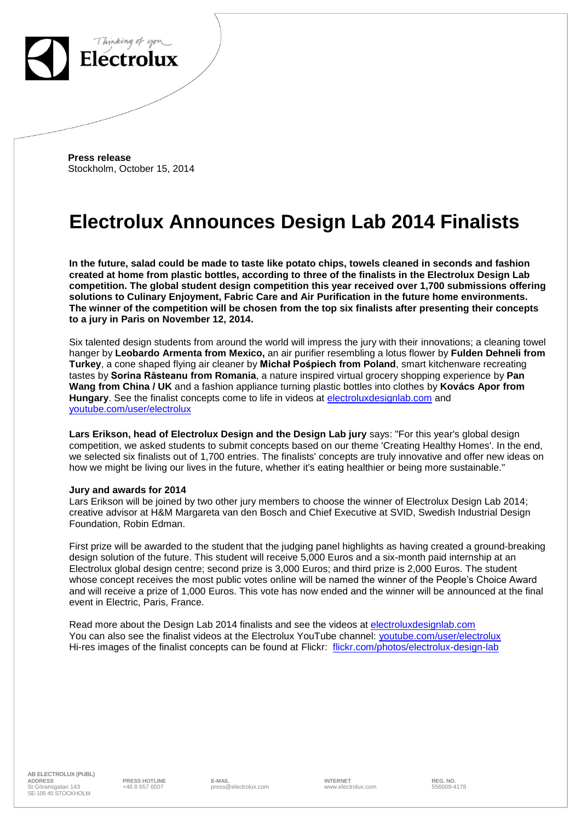

 **Press release** Stockholm, October 15, 2014

# **Electrolux Announces Design Lab 2014 Finalists**

**In the future, salad could be made to taste like potato chips, towels cleaned in seconds and fashion created at home from plastic bottles, according to three of the finalists in the Electrolux Design Lab competition. The global student design competition this year received over 1,700 submissions offering solutions to Culinary Enjoyment, Fabric Care and Air Purification in the future home environments. The winner of the competition will be chosen from the top six finalists after presenting their concepts to a jury in Paris on November 12, 2014.**

Six talented design students from around the world will impress the jury with their innovations; a cleaning towel hanger by **Leobardo Armenta from Mexico,** an air purifier resembling a lotus flower by **Fulden Dehneli from Turkey**, a cone shaped flying air cleaner by **Michał Pośpiech from Poland**, smart kitchenware recreating tastes by **Sorina Răsteanu from Romania**, a nature inspired virtual grocery shopping experience by **Pan Wang from China / UK** and a fashion appliance turning plastic bottles into clothes by **Kovács Apor from** Hungary. See the finalist concepts come to life in videos at **electroluxdesignlab.com** and [youtube.com/user/electrolux](http://www.youtube.com/user/electrolux)

**Lars Erikson, head of Electrolux Design and the Design Lab jury** says: "For this year's global design competition, we asked students to submit concepts based on our theme 'Creating Healthy Homes'. In the end, we selected six finalists out of 1,700 entries. The finalists' concepts are truly innovative and offer new ideas on how we might be living our lives in the future, whether it's eating healthier or being more sustainable."

#### **Jury and awards for 2014**

Lars Erikson will be joined by two other jury members to choose the winner of Electrolux Design Lab 2014; creative advisor at H&M Margareta van den Bosch and Chief Executive at SVID, Swedish Industrial Design Foundation, Robin Edman.

First prize will be awarded to the student that the judging panel highlights as having created a ground-breaking design solution of the future. This student will receive 5,000 Euros and a six-month paid internship at an Electrolux global design centre; second prize is 3,000 Euros; and third prize is 2,000 Euros. The student whose concept receives the most public votes online will be named the winner of the People's Choice Award and will receive a prize of 1,000 Euros. This vote has now ended and the winner will be announced at the final event in Electric, Paris, France.

Read more about the Design Lab 2014 finalists and see the videos at [electroluxdesignlab.com](http://electroluxdesignlab.com/) You can also see the finalist videos at the Electrolux YouTube channel: [youtube.com/user/electrolux](http://www.youtube.com/user/electrolux) Hi-res images of the finalist concepts can be found at Flickr: [flickr.com/photos/electrolux-design-lab](http://www.flickr.com/photos/electrolux-design-lab)